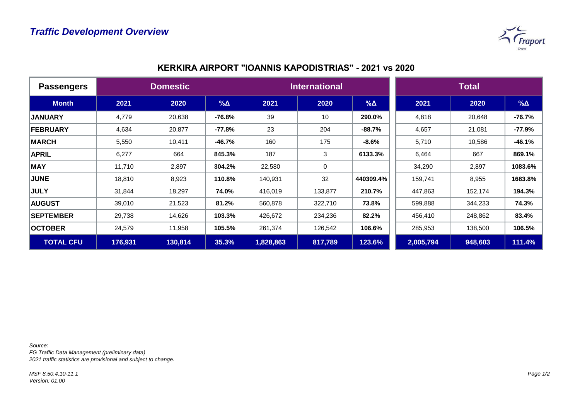

| <b>Passengers</b> | <b>Domestic</b> |         |             | <b>International</b> |             |            | <b>Total</b> |         |             |
|-------------------|-----------------|---------|-------------|----------------------|-------------|------------|--------------|---------|-------------|
| <b>Month</b>      | 2021            | 2020    | $\% \Delta$ | 2021                 | 2020        | $% \Delta$ | 2021         | 2020    | $\% \Delta$ |
| <b>JANUARY</b>    | 4,779           | 20,638  | -76.8%      | 39                   | 10          | 290.0%     | 4,818        | 20,648  | $-76.7%$    |
| <b>FEBRUARY</b>   | 4,634           | 20,877  | $-77.8%$    | 23                   | 204         | $-88.7%$   | 4,657        | 21,081  | $-77.9%$    |
| <b>MARCH</b>      | 5,550           | 10,411  | $-46.7%$    | 160                  | 175         | $-8.6%$    | 5,710        | 10,586  | $-46.1%$    |
| <b>APRIL</b>      | 6,277           | 664     | 845.3%      | 187                  | 3           | 6133.3%    | 6,464        | 667     | 869.1%      |
| <b>MAY</b>        | 11,710          | 2,897   | 304.2%      | 22,580               | $\mathbf 0$ |            | 34,290       | 2,897   | 1083.6%     |
| <b>JUNE</b>       | 18,810          | 8,923   | 110.8%      | 140,931              | 32          | 440309.4%  | 159,741      | 8,955   | 1683.8%     |
| <b>JULY</b>       | 31,844          | 18,297  | 74.0%       | 416,019              | 133,877     | 210.7%     | 447,863      | 152,174 | 194.3%      |
| <b>AUGUST</b>     | 39,010          | 21,523  | 81.2%       | 560,878              | 322,710     | 73.8%      | 599,888      | 344,233 | 74.3%       |
| <b>SEPTEMBER</b>  | 29,738          | 14,626  | 103.3%      | 426,672              | 234,236     | 82.2%      | 456,410      | 248,862 | 83.4%       |
| <b>OCTOBER</b>    | 24,579          | 11,958  | 105.5%      | 261,374              | 126,542     | 106.6%     | 285,953      | 138,500 | 106.5%      |
| <b>TOTAL CFU</b>  | 176,931         | 130,814 | 35.3%       | 1,828,863            | 817,789     | 123.6%     | 2,005,794    | 948,603 | 111.4%      |

## **KERKΙRA AIRPORT "IOANNIS KAPODISTRIAS" - 2021 vs 2020**

*Source:* 

*FG Traffic Data Management (preliminary data) 2021 traffic statistics are provisional and subject to change.*

*MSF 8.50.4.10-11.1 Version: 01.00*